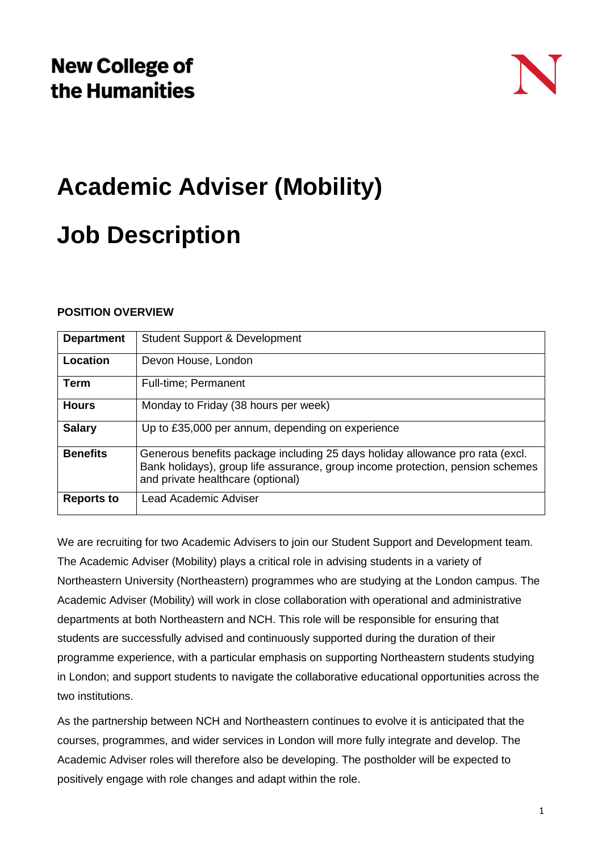# **Academic Adviser (Mobility)**

## **Job Description**

## **POSITION OVERVIEW**

| <b>Department</b> | <b>Student Support &amp; Development</b>                                                                                                                                                             |
|-------------------|------------------------------------------------------------------------------------------------------------------------------------------------------------------------------------------------------|
| Location          | Devon House, London                                                                                                                                                                                  |
| <b>Term</b>       | <b>Full-time</b> ; Permanent                                                                                                                                                                         |
| <b>Hours</b>      | Monday to Friday (38 hours per week)                                                                                                                                                                 |
| <b>Salary</b>     | Up to £35,000 per annum, depending on experience                                                                                                                                                     |
| <b>Benefits</b>   | Generous benefits package including 25 days holiday allowance pro rata (excl.<br>Bank holidays), group life assurance, group income protection, pension schemes<br>and private healthcare (optional) |
| <b>Reports to</b> | Lead Academic Adviser                                                                                                                                                                                |

We are recruiting for two Academic Advisers to join our Student Support and Development team. The Academic Adviser (Mobility) plays a critical role in advising students in a variety of Northeastern University (Northeastern) programmes who are studying at the London campus. The Academic Adviser (Mobility) will work in close collaboration with operational and administrative departments at both Northeastern and NCH. This role will be responsible for ensuring that students are successfully advised and continuously supported during the duration of their programme experience, with a particular emphasis on supporting Northeastern students studying in London; and support students to navigate the collaborative educational opportunities across the two institutions.

As the partnership between NCH and Northeastern continues to evolve it is anticipated that the courses, programmes, and wider services in London will more fully integrate and develop. The Academic Adviser roles will therefore also be developing. The postholder will be expected to positively engage with role changes and adapt within the role.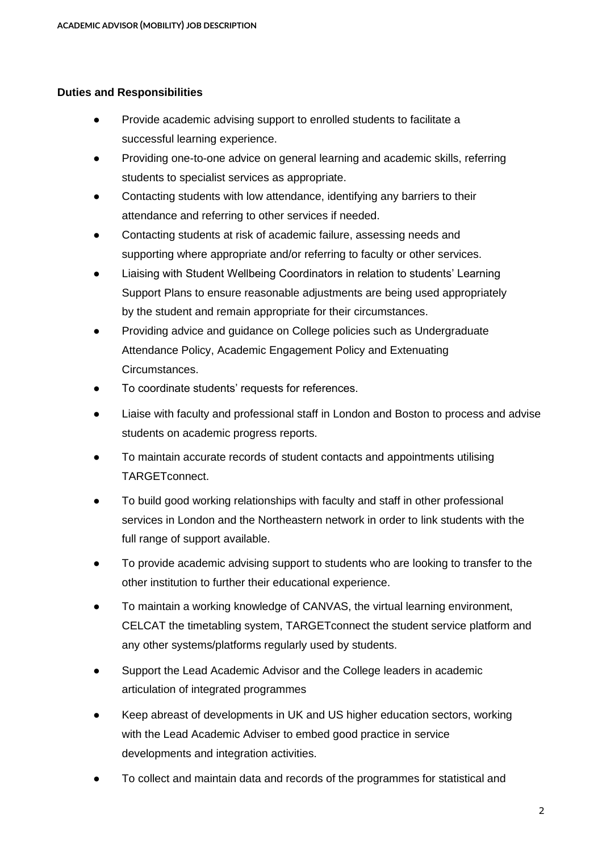## **Duties and Responsibilities**

- Provide academic advising support to enrolled students to facilitate a successful learning experience.
- Providing one-to-one advice on general learning and academic skills, referring students to specialist services as appropriate.
- Contacting students with low attendance, identifying any barriers to their attendance and referring to other services if needed.
- Contacting students at risk of academic failure, assessing needs and supporting where appropriate and/or referring to faculty or other services.
- Liaising with Student Wellbeing Coordinators in relation to students' Learning Support Plans to ensure reasonable adjustments are being used appropriately by the student and remain appropriate for their circumstances.
- Providing advice and guidance on College policies such as Undergraduate Attendance Policy, Academic Engagement Policy and Extenuating Circumstances.
- To coordinate students' requests for references.
- Liaise with faculty and professional staff in London and Boston to process and advise students on academic progress reports.
- To maintain accurate records of student contacts and appointments utilising TARGETconnect.
- To build good working relationships with faculty and staff in other professional services in London and the Northeastern network in order to link students with the full range of support available.
- To provide academic advising support to students who are looking to transfer to the other institution to further their educational experience.
- To maintain a working knowledge of CANVAS, the virtual learning environment, CELCAT the timetabling system, TARGETconnect the student service platform and any other systems/platforms regularly used by students.
- Support the Lead Academic Advisor and the College leaders in academic articulation of integrated programmes
- Keep abreast of developments in UK and US higher education sectors, working with the Lead Academic Adviser to embed good practice in service developments and integration activities.
- To collect and maintain data and records of the programmes for statistical and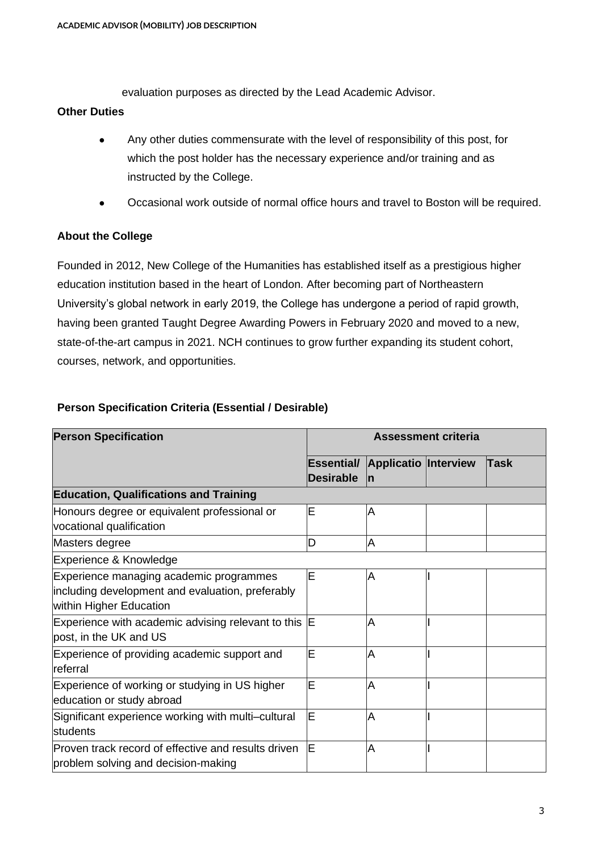evaluation purposes as directed by the Lead Academic Advisor.

#### **Other Duties**

- Any other duties commensurate with the level of responsibility of this post, for which the post holder has the necessary experience and/or training and as instructed by the College.
- Occasional work outside of normal office hours and travel to Boston will be required.

## **About the College**

Founded in 2012, New College of the Humanities has established itself as a prestigious higher education institution based in the heart of London. After becoming part of Northeastern University's global network in early 2019, the College has undergone a period of rapid growth, having been granted Taught Degree Awarding Powers in February 2020 and moved to a new, state-of-the-art campus in 2021. NCH continues to grow further expanding its student cohort, courses, network, and opportunities.

## **Person Specification Criteria (Essential / Desirable)**

| <b>Person Specification</b>                                                                                            | <b>Assessment criteria</b>     |                                   |  |      |
|------------------------------------------------------------------------------------------------------------------------|--------------------------------|-----------------------------------|--|------|
|                                                                                                                        | Essential/<br><b>Desirable</b> | <b>Applicatio Interview</b><br>In |  | Task |
| <b>Education, Qualifications and Training</b>                                                                          |                                |                                   |  |      |
| Honours degree or equivalent professional or<br>vocational qualification                                               | ΙE                             | Α                                 |  |      |
| Masters degree                                                                                                         | Ŋ                              | A                                 |  |      |
| Experience & Knowledge                                                                                                 |                                |                                   |  |      |
| Experience managing academic programmes<br>including development and evaluation, preferably<br>within Higher Education | ΙE                             | Α                                 |  |      |
| Experience with academic advising relevant to this E<br>post, in the UK and US                                         |                                | Α                                 |  |      |
| Experience of providing academic support and<br>Ireferral                                                              | ΙE                             | A                                 |  |      |
| Experience of working or studying in US higher<br>education or study abroad                                            | ΙE                             | Α                                 |  |      |
| Significant experience working with multi-cultural<br>students                                                         | ΙE                             | Α                                 |  |      |
| Proven track record of effective and results driven<br>problem solving and decision-making                             | ΙE                             | Α                                 |  |      |